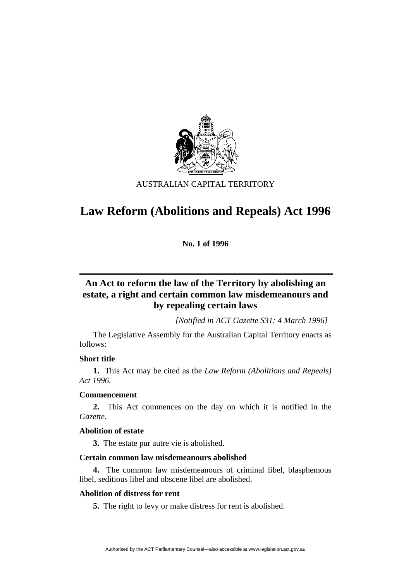

## AUSTRALIAN CAPITAL TERRITORY

# **Law Reform (Abolitions and Repeals) Act 1996**

**No. 1 of 1996** 

# **An Act to reform the law of the Territory by abolishing an estate, a right and certain common law misdemeanours and by repealing certain laws**

*[Notified in ACT Gazette S31: 4 March 1996]*

 The Legislative Assembly for the Australian Capital Territory enacts as follows:

## **Short title**

**1.** This Act may be cited as the *Law Reform (Abolitions and Repeals) Act 1996.*

## **Commencement**

**2.** This Act commences on the day on which it is notified in the *Gazette*.

## **Abolition of estate**

**3.** The estate pur autre vie is abolished.

## **Certain common law misdemeanours abolished**

**4.** The common law misdemeanours of criminal libel, blasphemous libel, seditious libel and obscene libel are abolished.

## **Abolition of distress for rent**

**5.** The right to levy or make distress for rent is abolished.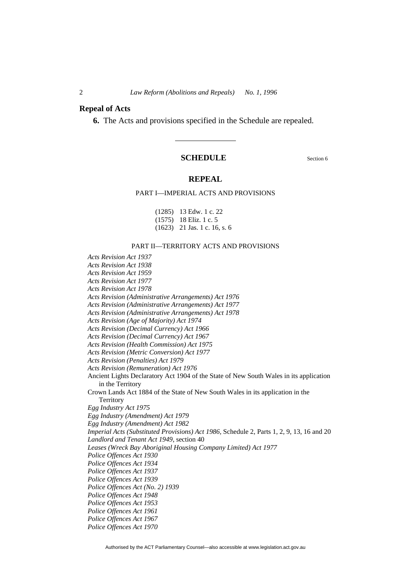#### **Repeal of Acts**

**6.** The Acts and provisions specified in the Schedule are repealed.

#### **SCHEDULE** Section 6

#### **REPEAL**

#### PART I—IMPERIAL ACTS AND PROVISIONS

| $(1285)$ 13 Edw. 1 c. 22       |
|--------------------------------|
| $(1575)$ 18 Eliz. 1 c. 5       |
| $(1623)$ 21 Jas. 1 c. 16, s. 6 |

#### PART II—TERRITORY ACTS AND PROVISIONS

*Acts Revision Act 1937 Acts Revision Act 1938 Acts Revision Act 1959 Acts Revision Act 1977 Acts Revision Act 1978 Acts Revision (Administrative Arrangements) Act 1976 Acts Revision (Administrative Arrangements) Act 1977 Acts Revision (Administrative Arrangements) Act 1978 Acts Revision (Age of Majority) Act 1974 Acts Revision (Decimal Currency) Act 1966 Acts Revision (Decimal Currency) Act 1967 Acts Revision (Health Commission) Act 1975 Acts Revision (Metric Conversion) Act 1977 Acts Revision (Penalties) Act 1979 Acts Revision (Remuneration) Act 1976*  Ancient Lights Declaratory Act 1904 of the State of New South Wales in its application in the Territory Crown Lands Act 1884 of the State of New South Wales in its application in the **Territory** *Egg Industry Act 1975 Egg Industry (Amendment) Act 1979 Egg Industry (Amendment) Act 1982 Imperial Acts (Substituted Provisions) Act 1986,* Schedule 2, Parts 1, 2, 9, 13, 16 and 20 *Landlord and Tenant Act 1949*, section 40 *Leases (Wreck Bay Aboriginal Housing Company Limited) Act 1977 Police Offences Act 1930 Police Offences Act 1934 Police Offences Act 1937 Police Offences Act 1939 Police Offences Act (No. 2) 1939 Police Offences Act 1948 Police Offences Act 1953 Police Offences Act 1961 Police Offences Act 1967 Police Offences Act 1970*